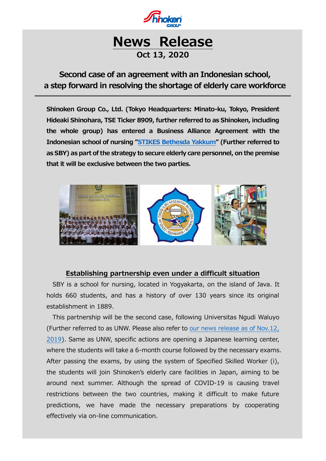

## **Second case of an agreement with an Indonesian school, a step forward in resolving the shortage of elderly care workforce**

**Shinoken Group Co., Ltd. (Tokyo Headquarters: Minato-ku, Tokyo, President Hideaki Shinohara, TSE Ticker 8909, further referred to as Shinoken, including the whole group) has entered a Business Alliance Agreement with the Indonesian school of nursing ["STIKES Bethesda Yakkum"](http://stikesbethesda.ac.id/) (Further referred to as SBY) as part of the strategy to secure elderly care personnel, on the premise that it will be exclusive between the two parties.**



## **Establishing partnership even under a difficult situation**

SBY is a school for nursing, located in Yogyakarta, on the island of Java. It holds 660 students, and has a history of over 130 years since its original establishment in 1889.

This partnership will be the second case, following Universitas Ngudi Waluyo (Further referred to as UNW. Please also refer to [our news release as of Nov.12,](https://www.shinoken.co.jp/press_ens/get_img/155/file1_path)  [2019\)](https://www.shinoken.co.jp/press_ens/get_img/155/file1_path). Same as UNW, specific actions are opening a Japanese learning center, where the students will take a 6-month course followed by the necessary exams. After passing the exams, by using the system of Specified Skilled Worker (i), the students will join Shinoken's elderly care facilities in Japan, aiming to be around next summer. Although the spread of COVID-19 is causing travel restrictions between the two countries, making it difficult to make future predictions, we have made the necessary preparations by cooperating effectively via on-line communication.